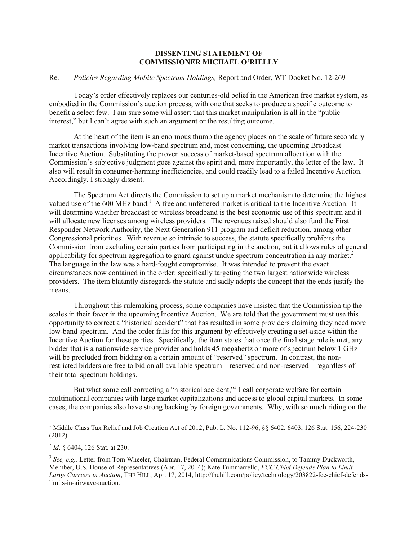## **DISSENTING STATEMENT OF COMMISSIONER MICHAEL O'RIELLY**

## Re*: Policies Regarding Mobile Spectrum Holdings,* Report and Order, WT Docket No. 12-269

Today's order effectively replaces our centuries-old belief in the American free market system, as embodied in the Commission's auction process, with one that seeks to produce a specific outcome to benefit a select few. I am sure some will assert that this market manipulation is all in the "public interest," but I can't agree with such an argument or the resulting outcome.

At the heart of the item is an enormous thumb the agency places on the scale of future secondary market transactions involving low-band spectrum and, most concerning, the upcoming Broadcast Incentive Auction. Substituting the proven success of market-based spectrum allocation with the Commission's subjective judgment goes against the spirit and, more importantly, the letter of the law. It also will result in consumer-harming inefficiencies, and could readily lead to a failed Incentive Auction. Accordingly, I strongly dissent.

The Spectrum Act directs the Commission to set up a market mechanism to determine the highest valued use of the 600 MHz band.<sup>1</sup> A free and unfettered market is critical to the Incentive Auction. It will determine whether broadcast or wireless broadband is the best economic use of this spectrum and it will allocate new licenses among wireless providers. The revenues raised should also fund the First Responder Network Authority, the Next Generation 911 program and deficit reduction, among other Congressional priorities. With revenue so intrinsic to success, the statute specifically prohibits the Commission from excluding certain parties from participating in the auction, but it allows rules of general applicability for spectrum aggregation to guard against undue spectrum concentration in any market. 2 The language in the law was a hard-fought compromise. It was intended to prevent the exact circumstances now contained in the order: specifically targeting the two largest nationwide wireless providers. The item blatantly disregards the statute and sadly adopts the concept that the ends justify the means.

Throughout this rulemaking process, some companies have insisted that the Commission tip the scales in their favor in the upcoming Incentive Auction. We are told that the government must use this opportunity to correct a "historical accident" that has resulted in some providers claiming they need more low-band spectrum. And the order falls for this argument by effectively creating a set-aside within the Incentive Auction for these parties. Specifically, the item states that once the final stage rule is met, any bidder that is a nationwide service provider and holds 45 megahertz or more of spectrum below 1 GHz will be precluded from bidding on a certain amount of "reserved" spectrum. In contrast, the nonrestricted bidders are free to bid on all available spectrum—reserved and non-reserved—regardless of their total spectrum holdings.

But what some call correcting a "historical accident,"<sup>3</sup> I call corporate welfare for certain multinational companies with large market capitalizations and access to global capital markets. In some cases, the companies also have strong backing by foreign governments. Why, with so much riding on the

 $\overline{a}$ 

<sup>&</sup>lt;sup>1</sup> Middle Class Tax Relief and Job Creation Act of 2012, Pub. L. No. 112-96,  $\S$ § 6402, 6403, 126 Stat. 156, 224-230 (2012).

<sup>2</sup> *Id*. § 6404, 126 Stat. at 230.

<sup>&</sup>lt;sup>3</sup> See, e.g., Letter from Tom Wheeler, Chairman, Federal Communications Commission, to Tammy Duckworth, Member, U.S. House of Representatives (Apr. 17, 2014); Kate Tummarrello, *FCC Chief Defends Plan to Limit Large Carriers in Auction*, THE HILL, Apr. 17, 2014, http://thehill.com/policy/technology/203822-fcc-chief-defendslimits-in-airwave-auction.